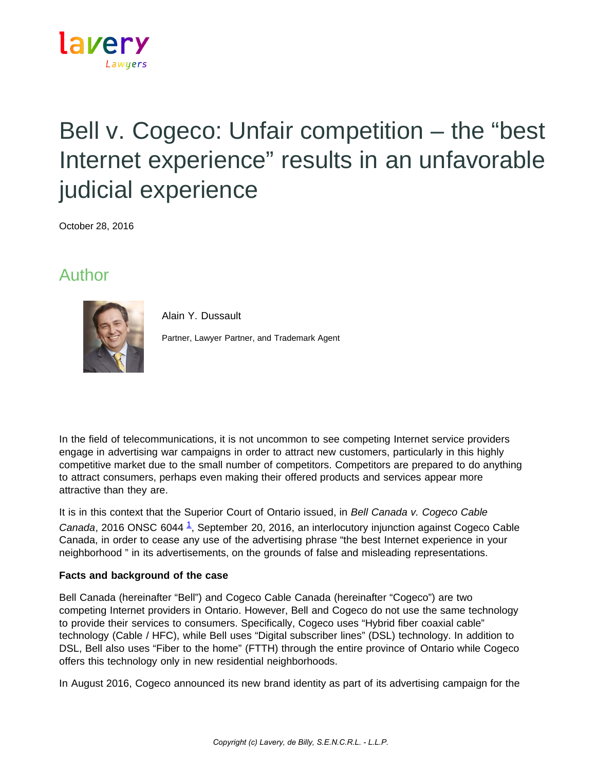

# Bell v. Cogeco: Unfair competition – the "best Internet experience" results in an unfavorable judicial experience

October 28, 2016

### Author



Alain Y. Dussault

Partner, Lawyer Partner, and Trademark Agent

In the field of telecommunications, it is not uncommon to see competing Internet service providers engage in advertising war campaigns in order to attract new customers, particularly in this highly competitive market due to the small number of competitors. Competitors are prepared to do anything to attract consumers, perhaps even making their offered products and services appear more attractive than they are.

It is in this context that the Superior Court of Ontario issued, in *Bell Canada v. Cogeco Cable Canada*, 2016 ONSC 6044 [1,](https://www.lavery.ca/en/publications/our-publications/3114-bell-v-cogeco-unfair-competition-the-best-internet-experience-results-in-an-unfavorable-judicial-experience.html#01) September 20, 2016, an interlocutory injunction against Cogeco Cable Canada, in order to cease any use of the advertising phrase "the best Internet experience in your neighborhood " in its advertisements, on the grounds of false and misleading representations.

#### **Facts and background of the case**

Bell Canada (hereinafter "Bell") and Cogeco Cable Canada (hereinafter "Cogeco") are two competing Internet providers in Ontario. However, Bell and Cogeco do not use the same technology to provide their services to consumers. Specifically, Cogeco uses "Hybrid fiber coaxial cable" technology (Cable / HFC), while Bell uses "Digital subscriber lines" (DSL) technology. In addition to DSL, Bell also uses "Fiber to the home" (FTTH) through the entire province of Ontario while Cogeco offers this technology only in new residential neighborhoods.

In August 2016, Cogeco announced its new brand identity as part of its advertising campaign for the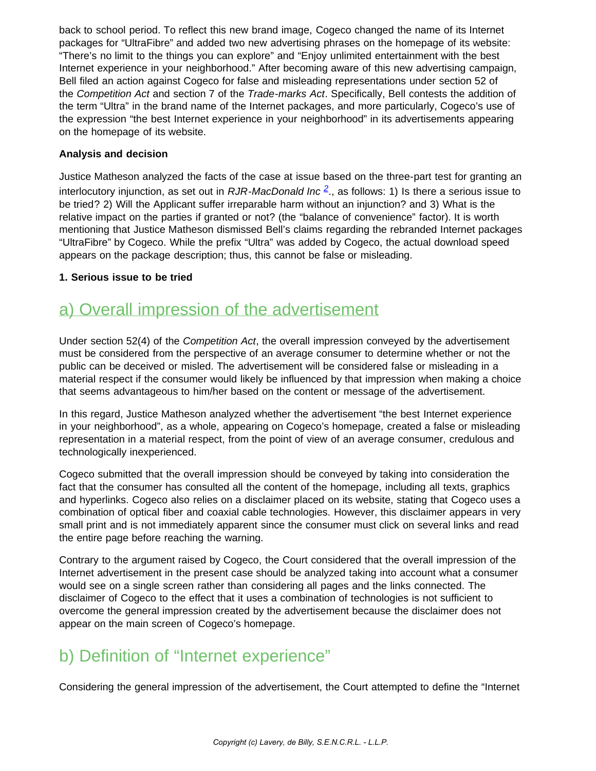back to school period. To reflect this new brand image, Cogeco changed the name of its Internet packages for "UltraFibre" and added two new advertising phrases on the homepage of its website: "There's no limit to the things you can explore" and "Enjoy unlimited entertainment with the best Internet experience in your neighborhood." After becoming aware of this new advertising campaign, Bell filed an action against Cogeco for false and misleading representations under section 52 of the *Competition Act* and section 7 of the *Trade-marks Act*. Specifically, Bell contests the addition of the term "Ultra" in the brand name of the Internet packages, and more particularly, Cogeco's use of the expression "the best Internet experience in your neighborhood" in its advertisements appearing on the homepage of its website.

#### **Analysis and decision**

Justice Matheson analyzed the facts of the case at issue based on the three-part test for granting an interlocutory injunction, as set out in *RJR-MacDonald Inc [2](https://www.lavery.ca/en/publications/our-publications/3114-bell-v-cogeco-unfair-competition-the-best-internet-experience-results-in-an-unfavorable-judicial-experience.html#02)*., as follows: 1) Is there a serious issue to be tried? 2) Will the Applicant suffer irreparable harm without an injunction? and 3) What is the relative impact on the parties if granted or not? (the "balance of convenience" factor). It is worth mentioning that Justice Matheson dismissed Bell's claims regarding the rebranded Internet packages "UltraFibre" by Cogeco. While the prefix "Ultra" was added by Cogeco, the actual download speed appears on the package description; thus, this cannot be false or misleading.

#### **1. Serious issue to be tried**

### a) Overall impression of the advertisement

Under section 52(4) of the *Competition Act*, the overall impression conveyed by the advertisement must be considered from the perspective of an average consumer to determine whether or not the public can be deceived or misled. The advertisement will be considered false or misleading in a material respect if the consumer would likely be influenced by that impression when making a choice that seems advantageous to him/her based on the content or message of the advertisement.

In this regard, Justice Matheson analyzed whether the advertisement "the best Internet experience in your neighborhood", as a whole, appearing on Cogeco's homepage, created a false or misleading representation in a material respect, from the point of view of an average consumer, credulous and technologically inexperienced.

Cogeco submitted that the overall impression should be conveyed by taking into consideration the fact that the consumer has consulted all the content of the homepage, including all texts, graphics and hyperlinks. Cogeco also relies on a disclaimer placed on its website, stating that Cogeco uses a combination of optical fiber and coaxial cable technologies. However, this disclaimer appears in very small print and is not immediately apparent since the consumer must click on several links and read the entire page before reaching the warning.

Contrary to the argument raised by Cogeco, the Court considered that the overall impression of the Internet advertisement in the present case should be analyzed taking into account what a consumer would see on a single screen rather than considering all pages and the links connected. The disclaimer of Cogeco to the effect that it uses a combination of technologies is not sufficient to overcome the general impression created by the advertisement because the disclaimer does not appear on the main screen of Cogeco's homepage.

## b) Definition of "Internet experience"

Considering the general impression of the advertisement, the Court attempted to define the "Internet